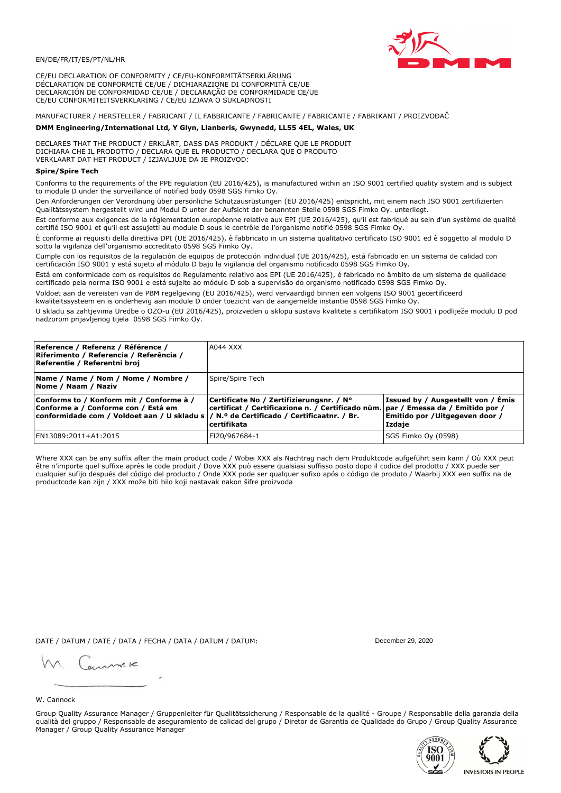

CE/EU DECLARATION OF CONFORMITY / CE/EU-KONFORMITÄTSERKLÄRUNG DÉCLARATION DE CONFORMITÉ CE/UE / DICHIARAZIONE DI CONFORMITÀ CE/UE DECLARACIÓN DE CONFORMIDAD CE/UE / DECLARAÇÃO DE CONFORMIDADE CE/UE CE/EU CONFORMITEITSVERKLARING / CE/EU IZJAVA O SUKLADNOSTI

# MANUFACTURER / HERSTELLER / FABRICANT / IL FABBRICANTE / FABRICANTE / FABRICANTE / FABRIKANT / PROIZVOĐAČ

## DMM Engineering/International Ltd, Y Glyn, Llanberis, Gwynedd, LL55 4EL, Wales, UK

DECLARES THAT THE PRODUCT / ERKLÄRT, DASS DAS PRODUKT / DÉCLARE QUE LE PRODUIT<br>DICHIARA CHE IL PRODOTTO / DECLARA QUE EL PRODUCTO / DECLARA QUE O PRODUTO VERKLAART DAT HET PRODUCT / IZJAVLJUJE DA JE PROIZVOD:

### **Spire/Spire Tech**

Conforms to the requirements of the PPE regulation (EU 2016/425), is manufactured within an ISO 9001 certified quality system and is subject to module D under the surveillance of notified body 0598 SGS Fimko Oy.

Den Anforderungen der Verordnung über persönliche Schutzausrüstungen (EU 2016/425) entspricht, mit einem nach ISO 9001 zertifizierten Oualitätssystem hergestellt wird und Modul D unter der Aufsicht der benannten Stelle 0598 SGS Fimko Oy. unterliegt.

Est conforme aux exigences de la réglementation européenne relative aux EPI (UE 2016/425), qu'il est fabriqué au sein d'un système de qualité certifié ISO 9001 et qu'il est assujetti au module D sous le contrôle de l'organisme notifié 0598 SGS Fimko Oy.

È conforme ai requisiti della direttiva DPI (UE 2016/425), è fabbricato in un sistema qualitativo certificato ISO 9001 ed è soggetto al modulo D sotto la vigilanza dell'organismo accreditato 0598 SGS Fimko Oy.

Cumple con los requisitos de la regulación de equipos de protección individual (UE 2016/425), está fabricado en un sistema de calidad con certificación ISO 9001 y está sujeto al módulo D bajo la vigilancia del organismo notificado 0598 SGS Fimko Oy.

Está em conformidade com os requisitos do Regulamento relativo aos EPI (UE 2016/425), é fabricado no âmbito de um sistema de qualidade certificado pela norma ISO 9001 e está sujeito ao módulo D sob a supervisão do organismo notificado 0598 SGS Fimko Oy.

Voldoet aan de vereisten van de PBM regelgeving (EU 2016/425), werd vervaardigd binnen een volgens ISO 9001 gecertificeerd kwaliteitssysteem en is onderhevig aan module D onder toezicht van de aangemelde instantie 0598 SGS Fimko Oy.

U skladu sa zahtjevima Uredbe o OZO-u (EU 2016/425), proizveden u sklopu sustava kvalitete s certifikatom ISO 9001 i podliježe modulu D pod nadzorom prijavljenog tijela 0598 SGS Fimko Oy.

| Reference / Referenz / Référence /<br> Riferimento / Referencia / Referência /<br>Referentie / Referentni broj                                                              | A044 XXX                                                                                                                                         |                                                                                 |
|-----------------------------------------------------------------------------------------------------------------------------------------------------------------------------|--------------------------------------------------------------------------------------------------------------------------------------------------|---------------------------------------------------------------------------------|
| Name / Name / Nom / Nome / Nombre /<br>Nome / Naam / Naziv                                                                                                                  | Spire/Spire Tech                                                                                                                                 |                                                                                 |
| Conforms to / Konform mit / Conforme à /<br>Conforme a / Conforme con / Está em<br>conformidade com / Voldoet aan / U skladu s  / N.º de Certificado / Certificaatnr. / Br. | Certificate No / Zertifizierungsnr. / N°<br>  certificat / Certificazione n. / Certificado núm.   par / Emessa da / Emitido por /<br>certifikata | Issued by / Ausgestellt von / Emis<br>Emitido por / Uitgegeven door /<br>Izdaje |
| EN13089:2011+A1:2015                                                                                                                                                        | FI20/967684-1                                                                                                                                    | SGS Fimko Oy (0598)                                                             |

Where XXX can be any suffix after the main product code / Wobei XXX als Nachtrag nach dem Produktcode aufgeführt sein kann / Où XXX peut être n'importe quel suffixe après le code produit / Dove XXX può essere qualsiasi suffisso posto dopo il codice del prodotto / XXX puede ser<br>cualquier sufijo después del código del producto / Onde XXX pode ser qualquer suf productcode kan zijn / XXX može biti bilo koji nastavak nakon šifre proizvoda

DATE / DATUM / DATE / DATA / FECHA / DATA / DATUM / DATUM:

gimmic

December 29, 2020



Group Quality Assurance Manager / Gruppenleiter für Qualitätssicherung / Responsable de la qualité - Groupe / Responsabile della garanzia della qualità del gruppo / Responsable de aseguramiento de calidad del grupo / Diretor de Garantia de Qualidade do Grupo / Group Quality Assurance Manager / Group Quality Assurance Manager



ASSURES īΩΩ 9001 **INVESTORS IN PEOPLE**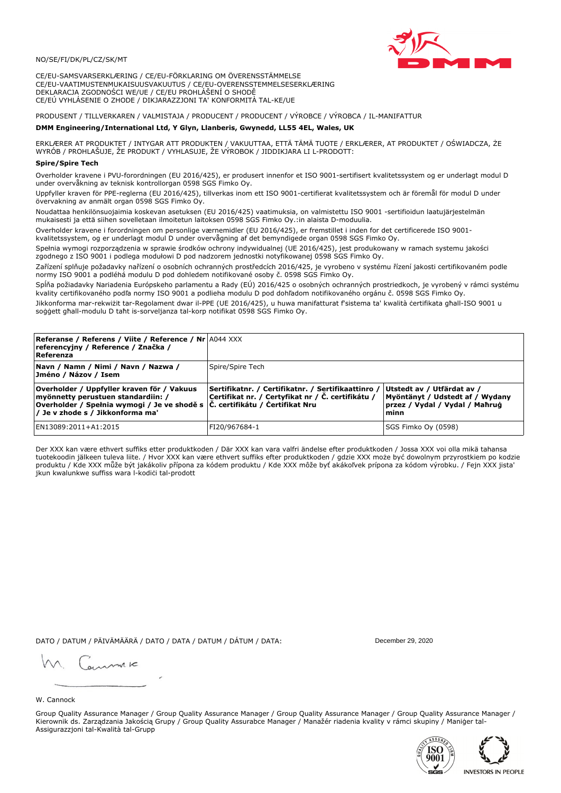

CE/EU-SAMSVARSERKLÆRING / CE/EU-FÖRKLARING OM ÖVERENSSTÄMMELSE CE/EU-VAATIMUSTENMUKAISUUSVAKUUTUS / CE/EU-OVERENSSTEMMELSESERKLÆRING DEKLARACJA ZGODNOŚCI WE/UE / CE/EU PROHLÁŠENÍ O SHODĚ CE/EÚ VYHLÁSENIE O ZHODE / DIKJARAZZJONI TA' KONFORMITÀ TAL-KE/UE

# PRODUSENT / TILLVERKAREN / VALMISTAJA / PRODUCENT / PRODUCENT / VÝROBCE / VÝROBCA / IL-MANIFATTUR

### DMM Engineering/International Ltd, Y Glyn, Llanberis, Gwynedd, LL55 4EL, Wales, UK

ERKLÆRER AT PRODUKTET / INTYGAR ATT PRODUKTEN / VAKUUTTAA, ETTÄ TÄMÄ TUOTE / ERKLÆRER, AT PRODUKTET / OŚWIADCZA, ŻE<br>WYRÓB / PROHLAŠUJE, ŽE PRODUKT / VYHLASUJE, ŽE VÝROBOK / JIDDIKJARA LI L-PRODOTT:

Overholder kravene i PVU-forordningen (EU 2016/425), er produsert innenfor et ISO 9001-sertifisert kvalitetssystem og er underlagt modul D under overvåkning av teknisk kontrollorgan 0598 SGS Fimko Oy.

Uppfyller kraven för PPE-reglerna (EU 2016/425), tillverkas inom ett ISO 9001-certifierat kvalitetssystem och är föremål för modul D under övervakning av anmält organ 0598 SGS Fimko Oy.

Noudattaa henkilönsuojaimia koskevan asetuksen (EU 2016/425) vaatimuksia, on valmistettu ISO 9001 -sertifioidun laatujärjestelmän mukaisesti ja että siihen sovelletaan ilmoitetun laitoksen 0598 SGS Fimko Oy.:in alaista D-moduulia.

Overholder kravene i forordningen om personlige værnemidler (EU 2016/425), er fremstillet i inden for det certificerede ISO 9001kvalitetssystem, og er underlagt modul D under overvågning af det bemyndigede organ 0598 SGS Fimko Oy.

Spełnia wymogi rozporządzenia w sprawie środków ochrony indywidualnej (UE 2016/425), jest produkowany w ramach systemu jakości zgodnego z ISO 9001 i podlega modułowi D pod nadzorem jednostki notyfikowanej 0598 SGS Fimko Oy.

Zařízení splňuje požadavky nařízení o osobních ochranných prostředcích 2016/425, je vyrobeno v systému řízení jakosti certifikovaném podle normy ISO 9001 a podléhá modulu D pod dohledem notifikované osoby č. 0598 SGS Fimko Oy.

Spĺňa požiadavky Nariadenia Európskeho parlamentu a Rady (EÚ) 2016/425 o osobných ochranných prostriedkoch, je vyrobený v rámci systému kvality certifikovaného podľa normy ISO 9001 a podlieha modulu D pod dohľadom notifikovaného orgánu č. 0598 SGS Fimko Oy.

Jikkonforma mar-rekwiżit tar-Regolament dwar il-PPE (UE 2016/425), u huwa manifatturat f'sistema ta' kwalità certifikata għall-ISO 9001 u soggett għall-modulu D taħt is-sorveljanza tal-korp notifikat 0598 SGS Fimko Oy.

| <b>Referanse / Referens / Viite / Reference / Nr</b> A044 XXX<br>referencyjny / Reference / Značka /<br>Referenza                                                                                      |                                                                                                         |                                                                                                         |
|--------------------------------------------------------------------------------------------------------------------------------------------------------------------------------------------------------|---------------------------------------------------------------------------------------------------------|---------------------------------------------------------------------------------------------------------|
| Navn / Namn / Nimi / Navn / Nazwa /<br>Jméno / Názov / Isem                                                                                                                                            | Spire/Spire Tech                                                                                        |                                                                                                         |
| Overholder / Uppfyller kraven för / Vakuus<br>myönnetty perustuen standardiin: /<br> Overholder / Spełnia wymogi / Je ve shodě s  Č. certifikátu / Certifikat Nru<br> / Je v zhode s / Jikkonforma ma' | Sertifikatnr. / Certifikatnr. / Sertifikaattinro /<br>Certifikat nr. / Certyfikat nr / Č. certifikátu / | Utstedt av / Utfärdat av /<br>Myöntänyt / Udstedt af / Wydany<br>przez / Vydal / Vydal / Maħruġ<br>minn |
| EN13089:2011+A1:2015                                                                                                                                                                                   | FI20/967684-1                                                                                           | SGS Fimko Oy (0598)                                                                                     |

Der XXX kan være ethvert suffiks etter produktkoden / Där XXX kan vara valfri ändelse efter produktkoden / Jossa XXX voi olla mikä tahansa tuotekoodin jälkeen tuleva liite. / Hvor XXX kan være ethvert suffiks efter produktkoden / gdzie XXX może być dowolnym przyrostkiem po kodzie produktu / Kde XXX může být jakákoliv přípona za kódem produktu / Kde XXX môže byť akákoľvek prípona za kódom výrobku. / Fejn XXX jista jkun kwalunkwe suffiss wara l-kodici tal-prodott

DATO / DATUM / PÄIVÄMÄÄRÄ / DATO / DATA / DATUM / DÁTUM / DATA:

December 29, 2020

annuic

W. Cannock

Group Quality Assurance Manager / Group Quality Assurance Manager / Group Quality Assurance Manager / Group Quality Assurance Manager / Kierownik ds. Zarządzania Jakością Grupy / Group Quality Assurabce Manager / Manažér riadenia kvality v rámci skupiny / Maniger tal-Assigurazzjoni tal-Kwalità tal-Grupp